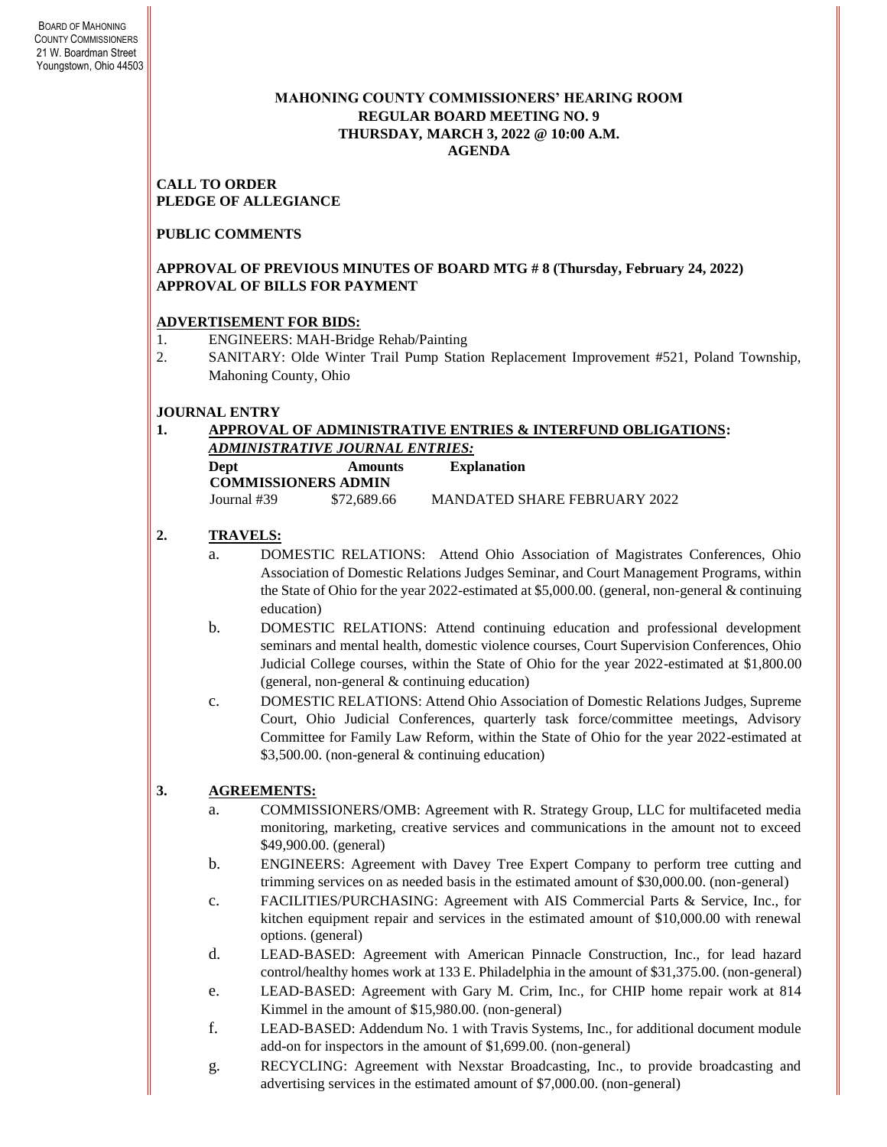# **MAHONING COUNTY COMMISSIONERS' HEARING ROOM REGULAR BOARD MEETING NO. 9 THURSDAY***,* **MARCH 3, 2022 @ 10:00 A.M. AGENDA**

**CALL TO ORDER PLEDGE OF ALLEGIANCE**

**PUBLIC COMMENTS**

# **APPROVAL OF PREVIOUS MINUTES OF BOARD MTG # 8 (Thursday, February 24, 2022) APPROVAL OF BILLS FOR PAYMENT**

# **ADVERTISEMENT FOR BIDS:**

- 1. ENGINEERS: MAH-Bridge Rehab/Painting
- 2. SANITARY: Olde Winter Trail Pump Station Replacement Improvement #521, Poland Township, Mahoning County, Ohio

# **JOURNAL ENTRY**

### **1. APPROVAL OF ADMINISTRATIVE ENTRIES & INTERFUND OBLIGATIONS:**  *ADMINISTRATIVE JOURNAL ENTRIES:* **Dept Amounts Explanation COMMISSIONERS ADMIN** Journal #39 \$72,689.66 MANDATED SHARE FEBRUARY 2022

# **2. TRAVELS:**

- a. DOMESTIC RELATIONS: Attend Ohio Association of Magistrates Conferences, Ohio Association of Domestic Relations Judges Seminar, and Court Management Programs, within the State of Ohio for the year 2022-estimated at \$5,000.00. (general, non-general & continuing education)
- b. DOMESTIC RELATIONS: Attend continuing education and professional development seminars and mental health, domestic violence courses, Court Supervision Conferences, Ohio Judicial College courses, within the State of Ohio for the year 2022-estimated at \$1,800.00 (general, non-general & continuing education)
- c. DOMESTIC RELATIONS: Attend Ohio Association of Domestic Relations Judges, Supreme Court, Ohio Judicial Conferences, quarterly task force/committee meetings, Advisory Committee for Family Law Reform, within the State of Ohio for the year 2022-estimated at \$3,500.00. (non-general & continuing education)

# **3. AGREEMENTS:**

- a. COMMISSIONERS/OMB: Agreement with R. Strategy Group, LLC for multifaceted media monitoring, marketing, creative services and communications in the amount not to exceed \$49,900.00. (general)
- b. ENGINEERS: Agreement with Davey Tree Expert Company to perform tree cutting and trimming services on as needed basis in the estimated amount of \$30,000.00. (non-general)
- c. FACILITIES/PURCHASING: Agreement with AIS Commercial Parts & Service, Inc., for kitchen equipment repair and services in the estimated amount of \$10,000.00 with renewal options. (general)
- d. LEAD-BASED: Agreement with American Pinnacle Construction, Inc., for lead hazard control/healthy homes work at 133 E. Philadelphia in the amount of \$31,375.00. (non-general)
- e. LEAD-BASED: Agreement with Gary M. Crim, Inc., for CHIP home repair work at 814 Kimmel in the amount of \$15,980.00. (non-general)
- f. LEAD-BASED: Addendum No. 1 with Travis Systems, Inc., for additional document module add-on for inspectors in the amount of \$1,699.00. (non-general)
- g. RECYCLING: Agreement with Nexstar Broadcasting, Inc., to provide broadcasting and advertising services in the estimated amount of \$7,000.00. (non-general)